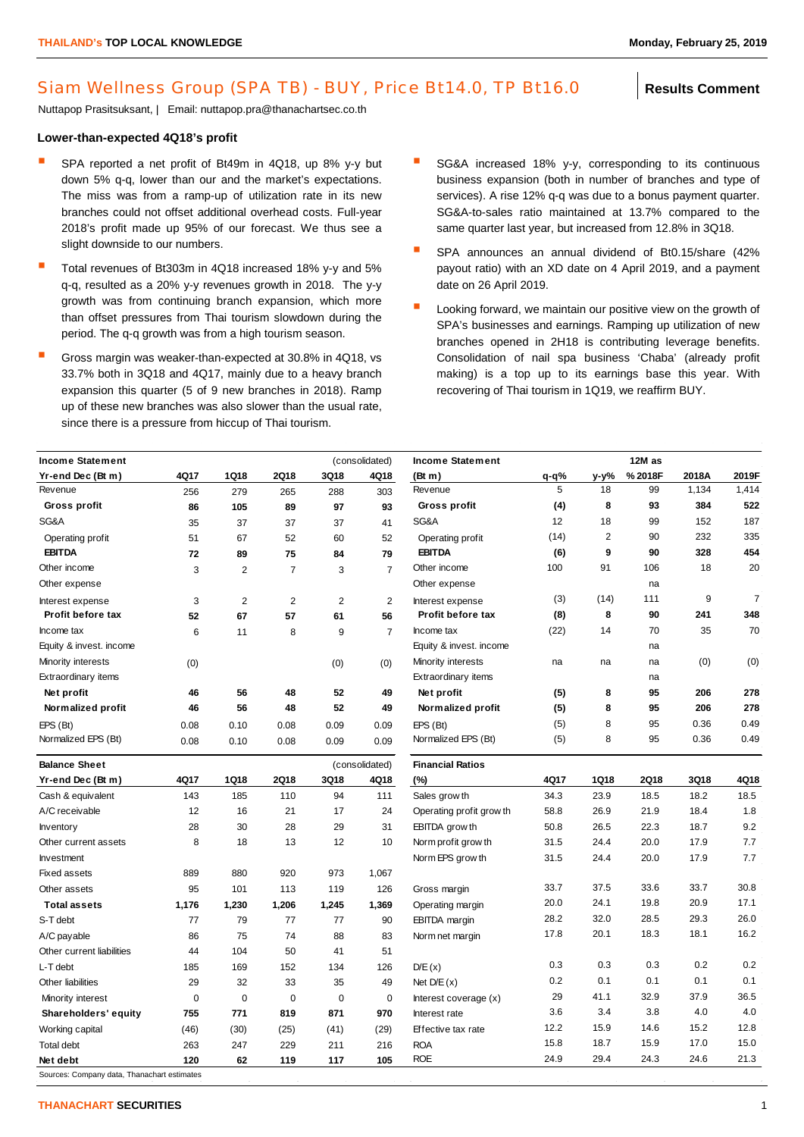## Siam Wellness Group (SPA TB) - BUY, Price Bt14.0, TP Bt16.0 **Results Comment**

Nuttapop Prasitsuksant, | Email: nuttapop.pra@thanachartsec.co.th

## **Lower-than-expected 4Q18's profit**

- SPA reported a net profit of Bt49m in 4Q18, up 8% y-y but down 5% q-q, lower than our and the market's expectations. The miss was from a ramp-up of utilization rate in its new branches could not offset additional overhead costs. Full-year 2018's profit made up 95% of our forecast. We thus see a slight downside to our numbers.
- Total revenues of Bt303m in 4Q18 increased 18% y-y and 5% q-q, resulted as a 20% y-y revenues growth in 2018. The y-y growth was from continuing branch expansion, which more than offset pressures from Thai tourism slowdown during the period. The q-q growth was from a high tourism season.
- Gross margin was weaker-than-expected at 30.8% in 4Q18, vs 33.7% both in 3Q18 and 4Q17, mainly due to a heavy branch expansion this quarter (5 of 9 new branches in 2018). Ramp up of these new branches was also slower than the usual rate, since there is a pressure from hiccup of Thai tourism.
- SG&A increased 18% y-y, corresponding to its continuous business expansion (both in number of branches and type of services). A rise 12% q-q was due to a bonus payment quarter. SG&A-to-sales ratio maintained at 13.7% compared to the same quarter last year, but increased from 12.8% in 3Q18.
- SPA announces an annual dividend of Bt0.15/share (42% payout ratio) with an XD date on 4 April 2019, and a payment date on 26 April 2019.
- Looking forward, we maintain our positive view on the growth of SPA's businesses and earnings. Ramping up utilization of new branches opened in 2H18 is contributing leverage benefits. Consolidation of nail spa business 'Chaba' (already profit making) is a top up to its earnings base this year. With recovering of Thai tourism in 1Q19, we reaffirm BUY.

| (consolidated)<br><b>Income Statement</b> |           |                |                |             |                         | <b>Income Statement</b>  |           | 12M as |             |       |                |  |
|-------------------------------------------|-----------|----------------|----------------|-------------|-------------------------|--------------------------|-----------|--------|-------------|-------|----------------|--|
| Yr-end Dec (Bt m)                         | 4Q17      | 1Q18           | 2Q18           | 3Q18        | 4Q18                    | (Bt m)                   | $q - q$ % | y-y%   | %2018F      | 2018A | 2019F          |  |
| Revenue                                   | 256       | 279            | 265            | 288         | 303                     | Revenue                  | 5         | 18     | 99          | 1,134 | 1,414          |  |
| Gross profit                              | 86        | 105            | 89             | 97          | 93                      | Gross profit             | (4)       | 8      | 93          | 384   | 522            |  |
| SG&A                                      | 35        | 37             | 37             | 37          | 41                      | SG&A                     | 12        | 18     | 99          | 152   | 187            |  |
| Operating profit                          | 51        | 67             | 52             | 60          | 52                      | Operating profit         | (14)      | 2      | 90          | 232   | 335            |  |
| <b>EBITDA</b>                             | 72        | 89             | 75             | 84          | 79                      | <b>EBITDA</b>            | (6)       | 9      | 90          | 328   | 454            |  |
| Other income                              | 3         | $\overline{2}$ | $\overline{7}$ | 3           | $\overline{7}$          | Other income             | 100       | 91     | 106         | 18    | 20             |  |
| Other expense                             |           |                |                |             |                         | Other expense            |           |        | na          |       |                |  |
| Interest expense                          | 3         | 2              | $\overline{2}$ | 2           | $\overline{2}$          | Interest expense         | (3)       | (14)   | 111         | 9     | $\overline{7}$ |  |
| Profit before tax                         | 52        | 67             | 57             | 61          | 56                      | Profit before tax        | (8)       | 8      | 90          | 241   | 348            |  |
| Income tax                                | 6         | 11             | 8              | 9           | $\overline{7}$          | Income tax               | (22)      | 14     | 70          | 35    | 70             |  |
| Equity & invest. income                   |           |                |                |             |                         | Equity & invest. income  |           |        | na          |       |                |  |
| Minority interests                        | (0)       |                |                | (0)         | (0)                     | Minority interests       | na        | na     | na          | (0)   | (0)            |  |
| Extraordinary items                       |           |                |                |             |                         | Extraordinary items      |           |        | na          |       |                |  |
| Net profit                                | 46        | 56             | 48             | 52          | 49                      | Net profit               | (5)       | 8      | 95          | 206   | 278            |  |
| Normalized profit                         | 46        | 56             | 48             | 52          | 49                      | Normalized profit        | (5)       | 8      | 95          | 206   | 278            |  |
| EPS (Bt)                                  | 0.08      | 0.10           | 0.08           | 0.09        | 0.09                    | EPS (Bt)                 | (5)       | 8      | 95          | 0.36  | 0.49           |  |
| Normalized EPS (Bt)                       | 0.08      | 0.10           | 0.08           | 0.09        | 0.09                    | Normalized EPS (Bt)      | (5)       | 8      | 95          | 0.36  | 0.49           |  |
| <b>Balance Sheet</b><br>(consolidated)    |           |                |                |             | <b>Financial Ratios</b> |                          |           |        |             |       |                |  |
| Yr-end Dec (Bt m)                         | 4Q17      | 1Q18           | 2Q18           | 3Q18        | 4Q18                    | (%)                      | 4Q17      | 1Q18   | <b>2Q18</b> | 3Q18  | 4Q18           |  |
| Cash & equivalent                         | 143       | 185            | 110            | 94          | 111                     | Sales grow th            | 34.3      | 23.9   | 18.5        | 18.2  | 18.5           |  |
| A/C receivable                            | 12        | 16             | 21             | 17          | 24                      | Operating profit grow th | 58.8      | 26.9   | 21.9        | 18.4  | 1.8            |  |
| Inventory                                 | 28        | 30             | 28             | 29          | 31                      | EBITDA grow th           | 50.8      | 26.5   | 22.3        | 18.7  | 9.2            |  |
| Other current assets                      | 8         | 18             | 13             | 12          | 10                      | Norm profit grow th      | 31.5      | 24.4   | 20.0        | 17.9  | 7.7            |  |
| Investment                                |           |                |                |             |                         | Norm EPS grow th         | 31.5      | 24.4   | 20.0        | 17.9  | 7.7            |  |
| <b>Fixed assets</b>                       | 889       | 880            | 920            | 973         | 1,067                   |                          |           |        |             |       |                |  |
| Other assets                              | 95        | 101            | 113            | 119         | 126                     | Gross margin             | 33.7      | 37.5   | 33.6        | 33.7  | 30.8           |  |
| <b>Total assets</b>                       | 1,176     | 1,230          | 1,206          | 1,245       | 1,369                   | Operating margin         | 20.0      | 24.1   | 19.8        | 20.9  | 17.1           |  |
| S-T debt                                  | 77        | 79             | 77             | 77          | 90                      | <b>EBITDA</b> margin     | 28.2      | 32.0   | 28.5        | 29.3  | 26.0           |  |
| A/C payable                               | 86        | 75             | 74             | 88          | 83                      | Norm net margin          | 17.8      | 20.1   | 18.3        | 18.1  | 16.2           |  |
| Other current liabilities                 | 44        | 104            | 50             | 41          | 51                      |                          |           |        |             |       |                |  |
| L-T debt                                  | 185       | 169            | 152            | 134         | 126                     | D/E(x)                   | 0.3       | 0.3    | 0.3         | 0.2   | 0.2            |  |
| Other liabilities                         | 29        | 32             | 33             | 35          | 49                      | Net $D/E(x)$             | 0.2       | 0.1    | 0.1         | 0.1   | 0.1            |  |
| Minority interest                         | $\pmb{0}$ | $\mathbf 0$    | $\mathbf 0$    | $\mathbf 0$ | $\mathbf 0$             | Interest coverage (x)    | 29        | 41.1   | 32.9        | 37.9  | 36.5           |  |
| Shareholders' equity                      | 755       | 771            | 819            | 871         | 970                     | Interest rate            | 3.6       | 3.4    | 3.8         | 4.0   | 4.0            |  |
| Working capital                           | (46)      | (30)           | (25)           | (41)        | (29)                    | Effective tax rate       | 12.2      | 15.9   | 14.6        | 15.2  | 12.8           |  |
| Total debt                                | 263       | 247            | 229            | 211         | 216                     | <b>ROA</b>               | 15.8      | 18.7   | 15.9        | 17.0  | 15.0           |  |
| Net debt                                  | 120       | 62             | 119            | 117         | 105                     | <b>ROE</b>               | 24.9      | 29.4   | 24.3        | 24.6  | 21.3           |  |

Sources: Company data, Thanachart estimates